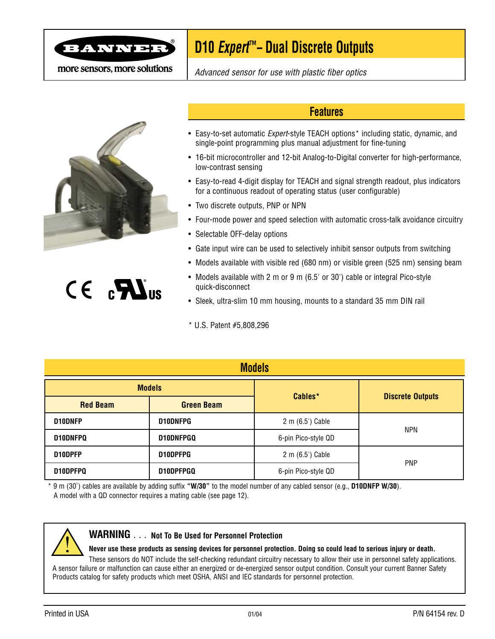

more sensors, more solutions

# **D10 Expert™ – Dual Discrete Outputs**

Advanced sensor for use with plastic fiber optics



# $CE$   $\mathbf{R}$   $\mathbf{S}$

#### **Features**

- Easy-to-set automatic Expert-style TEACH options\* including static, dynamic, and single-point programming plus manual adjustment for fine-tuning
- 16-bit microcontroller and 12-bit Analog-to-Digital converter for high-performance, low-contrast sensing
- Easy-to-read 4-digit display for TEACH and signal strength readout, plus indicators for a continuous readout of operating status (user configurable)
- Two discrete outputs, PNP or NPN
- Four-mode power and speed selection with automatic cross-talk avoidance circuitry
- Selectable OFF-delay options
- Gate input wire can be used to selectively inhibit sensor outputs from switching
- Models available with visible red (680 nm) or visible green (525 nm) sensing beam
- Models available with 2 m or 9 m (6.5' or 30') cable or integral Pico-style quick-disconnect
- Sleek, ultra-slim 10 mm housing, mounts to a standard 35 mm DIN rail

\* U.S. Patent #5,808,296

| <b>Models</b>                        |               |                     |                         |  |  |
|--------------------------------------|---------------|---------------------|-------------------------|--|--|
|                                      | <b>Models</b> |                     |                         |  |  |
| <b>Red Beam</b><br><b>Green Beam</b> |               | Cables*             | <b>Discrete Outputs</b> |  |  |
| D10DNFP<br><b>D10DNFPG</b>           |               | 2 m (6.5') Cable    | <b>NPN</b>              |  |  |
| D10DNFPQ<br>D10DNFPGQ                |               | 6-pin Pico-style QD |                         |  |  |
| D10DPFP<br>D10DPFPG                  |               | 2 m (6.5') Cable    | <b>PNP</b>              |  |  |
| D10DPFPQ<br>D10DPFPGQ                |               | 6-pin Pico-style QD |                         |  |  |

\* 9 m (30') cables are available by adding suffix **"W/30"** to the model number of any cabled sensor (e.g., **D10DNFP W/30**). A model with a QD connector requires a mating cable (see page 12).



#### **WARNING** . . . **Not To Be Used for Personnel Protection**

**Never use these products as sensing devices for personnel protection. Doing so could lead to serious injury or death.**

These sensors do NOT include the self-checking redundant circuitry necessary to allow their use in personnel safety applications. A sensor failure or malfunction can cause either an energized or de-energized sensor output condition. Consult your current Banner Safety Products catalog for safety products which meet OSHA, ANSI and IEC standards for personnel protection.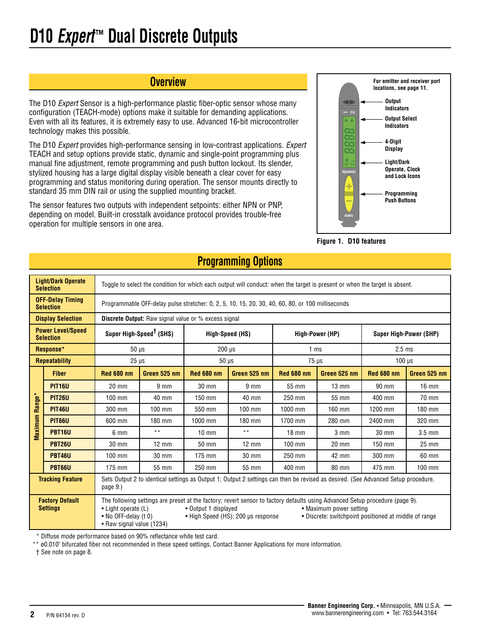#### **Overview**

The D10 Expert Sensor is a high-performance plastic fiber-optic sensor whose many configuration (TEACH-mode) options make it suitable for demanding applications. Even with all its features, it is extremely easy to use. Advanced 16-bit microcontroller technology makes this possible.

The D10 Expert provides high-performance sensing in low-contrast applications. Expert TEACH and setup options provide static, dynamic and single-point programming plus manual fine adjustment, remote programming and push button lockout. Its slender, stylized housing has a large digital display visible beneath a clear cover for easy programming and status monitoring during operation. The sensor mounts directly to standard 35 mm DIN rail or using the supplied mounting bracket.

The sensor features two outputs with independent setpoints: either NPN or PNP, depending on model. Built-in crosstalk avoidance protocol provides trouble-free operation for multiple sensors in one area.



**Figure 1. D10 features**

|         | <b>Light/Dark Operate</b><br><b>Selection</b>                                                                                                                                                                                                                                                                                                                                                           |                                                                                                                                               | Toggle to select the condition for which each output will conduct: when the target is present or when the target is absent. |                   |                                                                                                  |                   |                  |                   |                 |
|---------|---------------------------------------------------------------------------------------------------------------------------------------------------------------------------------------------------------------------------------------------------------------------------------------------------------------------------------------------------------------------------------------------------------|-----------------------------------------------------------------------------------------------------------------------------------------------|-----------------------------------------------------------------------------------------------------------------------------|-------------------|--------------------------------------------------------------------------------------------------|-------------------|------------------|-------------------|-----------------|
|         | <b>OFF-Delay Timing</b><br><b>Selection</b>                                                                                                                                                                                                                                                                                                                                                             |                                                                                                                                               |                                                                                                                             |                   | Programmable OFF-delay pulse stretcher: 0, 2, 5, 10, 15, 20, 30, 40, 60, 80, or 100 milliseconds |                   |                  |                   |                 |
|         | <b>Display Selection</b>                                                                                                                                                                                                                                                                                                                                                                                |                                                                                                                                               | <b>Discrete Output:</b> Raw signal value or % excess signal                                                                 |                   |                                                                                                  |                   |                  |                   |                 |
|         | <b>Power Level/Speed</b><br><b>Selection</b>                                                                                                                                                                                                                                                                                                                                                            | Super High-Speed <sup>†</sup> (SHS)<br>High-Speed (HS)<br>High-Power (HP)<br><b>Super High-Power (SHP)</b>                                    |                                                                                                                             |                   |                                                                                                  |                   |                  |                   |                 |
|         | Response*                                                                                                                                                                                                                                                                                                                                                                                               | $50 \mu s$<br>$2.5$ ms<br>$200 \text{ }\mu\text{s}$<br>1 <sub>ms</sub>                                                                        |                                                                                                                             |                   |                                                                                                  |                   |                  |                   |                 |
|         | <b>Repeatability</b>                                                                                                                                                                                                                                                                                                                                                                                    | $25 \mu s$                                                                                                                                    |                                                                                                                             | $50 \mu s$        |                                                                                                  | $75 \,\mu s$      |                  | $100$ $\mu$ s     |                 |
|         | <b>Fiber</b>                                                                                                                                                                                                                                                                                                                                                                                            | <b>Red 680 nm</b>                                                                                                                             | Green 525 nm                                                                                                                | <b>Red 680 nm</b> | Green 525 nm                                                                                     | <b>Red 680 nm</b> | Green 525 nm     | <b>Red 680 nm</b> | Green 525 nm    |
|         | <b>PIT16U</b>                                                                                                                                                                                                                                                                                                                                                                                           | 20 mm                                                                                                                                         | 9 <sub>mm</sub>                                                                                                             | 30 mm             | 9 <sub>mm</sub>                                                                                  | 55 mm             | $13 \text{ mm}$  | 90 mm             | $16$ mm         |
| Range*  | <b>PIT26U</b>                                                                                                                                                                                                                                                                                                                                                                                           | 100 mm                                                                                                                                        | 40 mm                                                                                                                       | 150 mm            | 40 mm                                                                                            | 250 mm            | 55 mm            | 400 mm            | 70 mm           |
|         | <b>PIT46U</b>                                                                                                                                                                                                                                                                                                                                                                                           | 300 mm                                                                                                                                        | $100$ mm                                                                                                                    | 550 mm            | $100$ mm                                                                                         | 1000 mm           | 160 mm           | 1200 mm           | 180 mm          |
| Maximum | <b>PIT66U</b>                                                                                                                                                                                                                                                                                                                                                                                           | 600 mm                                                                                                                                        | 180 mm                                                                                                                      | 1000 mm           | 180 mm                                                                                           | 1700 mm           | 280 mm           | 2400 mm           | 320 mm          |
|         | <b>PBT16U</b>                                                                                                                                                                                                                                                                                                                                                                                           | 6 mm                                                                                                                                          | $\star\star$                                                                                                                | $10 \text{ mm}$   | $* *$                                                                                            | $18 \text{ mm}$   | $3 \, \text{mm}$ | 30 mm             | $3.5$ mm        |
|         | <b>PBT26U</b>                                                                                                                                                                                                                                                                                                                                                                                           | $30 \text{ mm}$                                                                                                                               | $12 \text{ mm}$                                                                                                             | $50 \text{ mm}$   | $12 \text{ mm}$                                                                                  | $100$ mm          | $20 \text{ mm}$  | $150$ mm          | $25 \text{ mm}$ |
|         | <b>PBT46U</b>                                                                                                                                                                                                                                                                                                                                                                                           | $100$ mm                                                                                                                                      | 30 mm                                                                                                                       | 175 mm            | 30 mm                                                                                            | 250 mm            | 42 mm            | 300 mm            | 60 mm           |
|         | <b>PBT66U</b>                                                                                                                                                                                                                                                                                                                                                                                           | $175$ mm                                                                                                                                      | 55 mm                                                                                                                       | 250 mm            | 55 mm                                                                                            | 400 mm            | 80 mm            | 475 mm            | $100$ mm        |
|         | <b>Tracking Feature</b>                                                                                                                                                                                                                                                                                                                                                                                 | Sets Output 2 to identical settings as Output 1; Output 2 settings can then be revised as desired. (See Advanced Setup procedure,<br>page 9.) |                                                                                                                             |                   |                                                                                                  |                   |                  |                   |                 |
|         | <b>Factory Default</b><br>The following settings are preset at the factory; revert sensor to factory defaults using Advanced Setup procedure (page 9).<br><b>Settings</b><br>• Light operate (L)<br>• Output 1 displayed<br>• Maximum power setting<br>• No OFF-delay (t 0)<br>• Discrete: switchpoint positioned at middle of range<br>• High Speed (HS); 200 µs response<br>• Raw signal value (1234) |                                                                                                                                               |                                                                                                                             |                   |                                                                                                  |                   |                  |                   |                 |

# **Programming Options**

\* Diffuse mode performance based on 90% reflectance white test card.

\*\* ø0.010" bifurcated fiber not recommended in these speed settings. Contact Banner Applications for more information.

† See note on page 8.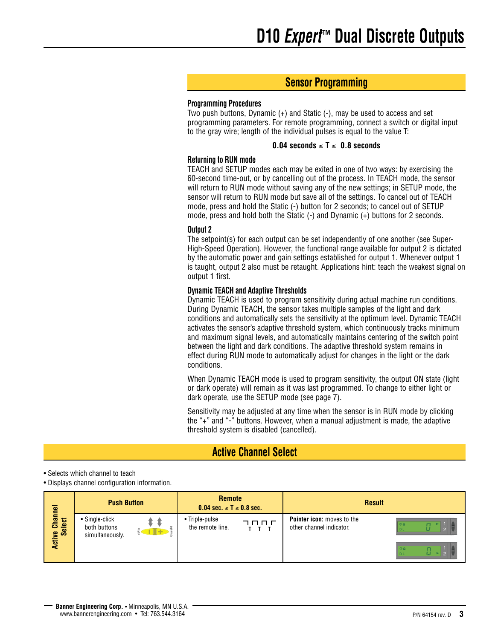# **Sensor Programming**

#### **Programming Procedures**

Two push buttons, Dynamic (+) and Static (-), may be used to access and set programming parameters. For remote programming, connect a switch or digital input to the gray wire; length of the individual pulses is equal to the value T:

#### **0.04 seconds** ≤ **T** ≤ **0.8 seconds**

#### **Returning to RUN mode**

TEACH and SETUP modes each may be exited in one of two ways: by exercising the 60-second time-out, or by cancelling out of the process. In TEACH mode, the sensor will return to RUN mode without saving any of the new settings; in SETUP mode, the sensor will return to RUN mode but save all of the settings. To cancel out of TEACH mode, press and hold the Static (-) button for 2 seconds; to cancel out of SETUP mode, press and hold both the Static (-) and Dynamic (+) buttons for 2 seconds.

#### **Output 2**

The setpoint(s) for each output can be set independently of one another (see Super-High-Speed Operation). However, the functional range available for output 2 is dictated by the automatic power and gain settings established for output 1. Whenever output 1 is taught, output 2 also must be retaught. Applications hint: teach the weakest signal on output 1 first.

#### **Dynamic TEACH and Adaptive Thresholds**

Dynamic TEACH is used to program sensitivity during actual machine run conditions. During Dynamic TEACH, the sensor takes multiple samples of the light and dark conditions and automatically sets the sensitivity at the optimum level. Dynamic TEACH activates the sensor's adaptive threshold system, which continuously tracks minimum and maximum signal levels, and automatically maintains centering of the switch point between the light and dark conditions. The adaptive threshold system remains in effect during RUN mode to automatically adjust for changes in the light or the dark conditions.

When Dynamic TEACH mode is used to program sensitivity, the output ON state (light or dark operate) will remain as it was last programmed. To change to either light or dark operate, use the SETUP mode (see page 7).

Sensitivity may be adjusted at any time when the sensor is in RUN mode by clicking the "+" and "-" buttons. However, when a manual adjustment is made, the adaptive threshold system is disabled (cancelled).

### **Active Channel Select**

• Selects which channel to teach

• Displays channel configuration information.

|                                                                            |                                                   | <b>Remote</b><br><b>Push Button</b><br>$0.04$ sec. $\le T \le 0.8$ sec. |                                    | <b>Result</b>            |                                                               |  |
|----------------------------------------------------------------------------|---------------------------------------------------|-------------------------------------------------------------------------|------------------------------------|--------------------------|---------------------------------------------------------------|--|
| Channel<br>$\overline{6}$<br>$\overline{\bullet}$<br>$\boldsymbol{\omega}$ | • Single-click<br>both buttons<br>simultaneously. | $+$ $+$                                                                 | • Triple-pulse<br>the remote line. | <b>TULLIT</b><br>$T$ $T$ | <b>Pointer icon:</b> moves to the<br>other channel indicator. |  |
| <b>Active</b>                                                              |                                                   |                                                                         |                                    |                          |                                                               |  |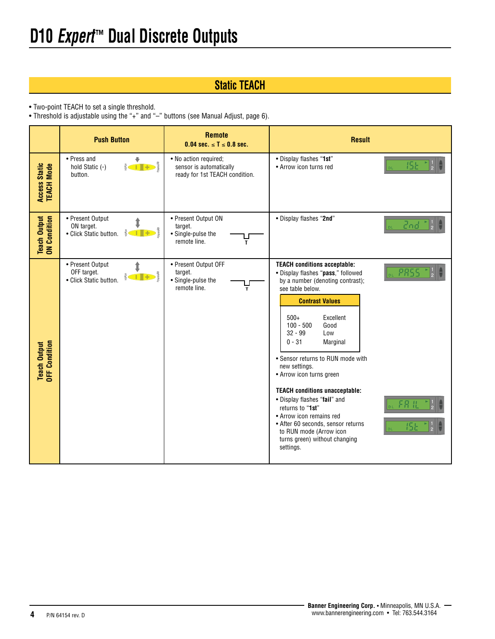# **Static TEACH**

• Two-point TEACH to set a single threshold.

• Threshold is adjustable using the "+" and "–" buttons (see Manual Adjust, page 6).

|                                      | <b>Push Button</b>                                                                                                                                                                                                                                                                                                                                                                                                                                      | <b>Remote</b><br>0.04 sec. $\le T \le 0.8$ sec.                                    | <b>Result</b>                                                                                                                                                                                                                                                                                                                                                                                                                                                                                                                                                                          |
|--------------------------------------|---------------------------------------------------------------------------------------------------------------------------------------------------------------------------------------------------------------------------------------------------------------------------------------------------------------------------------------------------------------------------------------------------------------------------------------------------------|------------------------------------------------------------------------------------|----------------------------------------------------------------------------------------------------------------------------------------------------------------------------------------------------------------------------------------------------------------------------------------------------------------------------------------------------------------------------------------------------------------------------------------------------------------------------------------------------------------------------------------------------------------------------------------|
| <b>Access Static<br/>TEACH Mode</b>  | • Press and<br>٠<br>hold Static (-)<br>button.                                                                                                                                                                                                                                                                                                                                                                                                          | · No action required;<br>sensor is automatically<br>ready for 1st TEACH condition. | . Display flashes "1st"<br>15 E<br>• Arrow icon turns red                                                                                                                                                                                                                                                                                                                                                                                                                                                                                                                              |
| <b>Teach Output</b><br>ON Condition  | • Present Output<br>ON target.<br>$\frac{1}{\sin \theta}$ $\frac{1}{\sin \theta}$<br>• Click Static button.                                                                                                                                                                                                                                                                                                                                             | • Present Output ON<br>target.<br>• Single-pulse the<br>remote line.<br>T          | • Display flashes "2nd"<br>Znd                                                                                                                                                                                                                                                                                                                                                                                                                                                                                                                                                         |
| <b>Teach Output</b><br>OFF Condition | • Present Output<br>OFF target.<br>$\begin{array}{c} \begin{array}{c} \uparrow \\ \downarrow \end{array} & \uparrow \\ \begin{array}{c} \uparrow \\ \downarrow \end{array} & \downarrow \\ \begin{array}{c} \uparrow \\ \downarrow \end{array} & \downarrow \\ \begin{array}{c} \uparrow \\ \downarrow \end{array} & \downarrow \\ \begin{array}{c} \uparrow \\ \downarrow \end{array} & \downarrow \\ \end{array}$<br>riatic<br>• Click Static button. | • Present Output OFF<br>target.<br>• Single-pulse the<br>remote line.<br>т         | <b>TEACH conditions acceptable:</b><br>PRS<br>· Display flashes "pass," followed<br>by a number (denoting contrast);<br>see table below.<br><b>Contrast Values</b><br>Excellent<br>$500+$<br>Good<br>$100 - 500$<br>Low<br>$32 - 99$<br>$0 - 31$<br>Marginal<br>• Sensor returns to RUN mode with<br>new settings.<br>• Arrow icon turns green<br><b>TEACH conditions unacceptable:</b><br>• Display flashes "fail" and<br>returns to "1st"<br>• Arrow icon remains red<br>• After 60 seconds, sensor returns<br>to RUN mode (Arrow icon<br>turns green) without changing<br>settings. |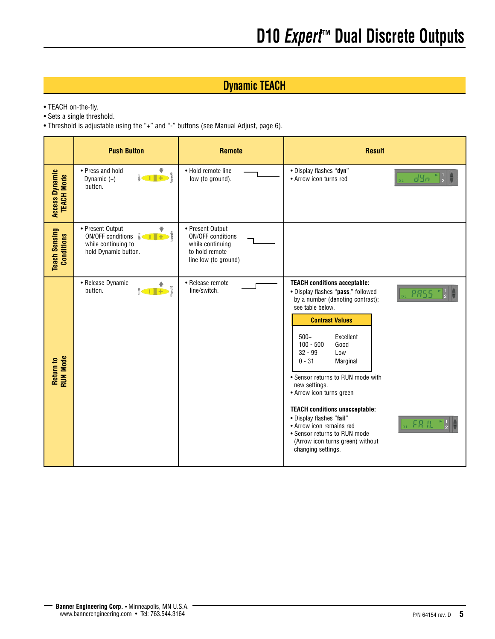# **Dynamic TEACH**

- TEACH on-the-fly.
- Sets a single threshold.
- Threshold is adjustable using the "+" and "-" buttons (see Manual Adjust, page 6).

|                                     | <b>Push Button</b>                                                                                                                            | <b>Remote</b>                                                                                       | <b>Result</b>                                                                                                                                                                                                                                                                                                                                                                                                                                                                                                                              |
|-------------------------------------|-----------------------------------------------------------------------------------------------------------------------------------------------|-----------------------------------------------------------------------------------------------------|--------------------------------------------------------------------------------------------------------------------------------------------------------------------------------------------------------------------------------------------------------------------------------------------------------------------------------------------------------------------------------------------------------------------------------------------------------------------------------------------------------------------------------------------|
| Access Dynamic<br><b>TEACH Mode</b> | • Press and hold<br>Dynamic $(+)$<br>button.                                                                                                  | • Hold remote line<br>low (to ground).                                                              | • Display flashes "dyn"<br><u>dyn.</u><br>• Arrow icon turns red                                                                                                                                                                                                                                                                                                                                                                                                                                                                           |
| <b>Teach Sensing</b><br>Conditions  | • Present Output<br>$ON/OFF$ conditions $\frac{32}{5}$ $\leftarrow$ $\leftarrow$ $\frac{5}{5}$<br>while continuing to<br>hold Dynamic button. | • Present Output<br>ON/OFF conditions<br>while continuing<br>to hold remote<br>line low (to ground) |                                                                                                                                                                                                                                                                                                                                                                                                                                                                                                                                            |
| Return to<br>RUN Mode               | • Release Dynamic<br>button.                                                                                                                  | • Release remote<br>line/switch.                                                                    | <b>TEACH conditions acceptable:</b><br>• Display flashes "pass," followed<br>PRSS<br>by a number (denoting contrast);<br>see table below.<br><b>Contrast Values</b><br>$500+$<br>Excellent<br>$100 - 500$<br>Good<br>$32 - 99$<br>Low<br>$0 - 31$<br>Marginal<br>• Sensor returns to RUN mode with<br>new settings.<br>• Arrow icon turns green<br><b>TEACH conditions unacceptable:</b><br>• Display flashes "fail"<br>• Arrow icon remains red<br>• Sensor returns to RUN mode<br>(Arrow icon turns green) without<br>changing settings. |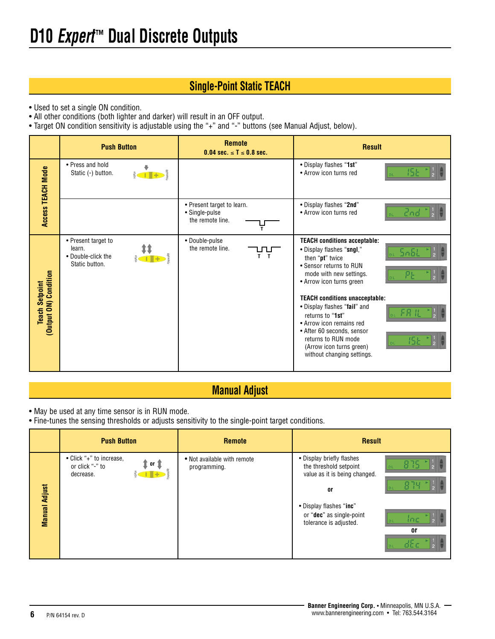# **Single-Point Static TEACH**

- Used to set a single ON condition.
- All other conditions (both lighter and darker) will result in an OFF output.
- Target ON condition sensitivity is adjustable using the "+" and "-" buttons (see Manual Adjust, below).

|                                                | <b>Push Button</b>                                                                                                                                             | <b>Remote</b><br>0.04 sec. $\le T \le 0.8$ sec.                  | <b>Result</b>                                                                                                                                                                                                                        |
|------------------------------------------------|----------------------------------------------------------------------------------------------------------------------------------------------------------------|------------------------------------------------------------------|--------------------------------------------------------------------------------------------------------------------------------------------------------------------------------------------------------------------------------------|
| <b>Access TEACH Mode</b>                       | • Press and hold<br>Static (-) button.                                                                                                                         |                                                                  | . Display flashes "1st"<br>• Arrow icon turns red                                                                                                                                                                                    |
|                                                |                                                                                                                                                                | • Present target to learn.<br>• Single-pulse<br>the remote line. | • Display flashes "2nd"<br>• Arrow icon turns red                                                                                                                                                                                    |
|                                                | • Present target to<br>learn.<br>$\frac{1}{\frac{1}{\sqrt{2}}}\left\  \frac{1}{\sqrt{2}}\right\ _{\frac{1}{\sqrt{2}}}$<br>• Double-click the<br>Static button. | • Double-pulse<br>the remote line.<br>ЛЦ<br>$T$ T                | <b>TEACH conditions acceptable:</b><br>• Display flashes "sngl,"<br>then "pt" twice<br>• Sensor returns to RUN<br>mode with new settings.<br>• Arrow icon turns green                                                                |
| (Output ON) Condition<br><b>Teach Setpoint</b> |                                                                                                                                                                |                                                                  | <b>TEACH conditions unacceptable:</b><br>• Display flashes "fail" and<br>returns to "1st"<br>• Arrow icon remains red<br>• After 60 seconds, sensor<br>returns to RUN mode<br>(Arrow icon turns green)<br>without changing settings. |

# **Manual Adjust**

- May be used at any time sensor is in RUN mode.
- Fine-tunes the sensing thresholds or adjusts sensitivity to the single-point target conditions.

|                      | <b>Push Button</b>                                                | <b>Remote</b>                               | <b>Result</b>                                                                              |
|----------------------|-------------------------------------------------------------------|---------------------------------------------|--------------------------------------------------------------------------------------------|
|                      | • Click "+" to increase,<br>∶or ¶<br>or click "-" to<br>decrease. | • Not available with remote<br>programming. | • Display briefly flashes<br>the threshold setpoint<br>value as it is being changed.<br>0r |
| <b>Manual Adjust</b> |                                                                   |                                             | • Display flashes "inc"<br>or "dec" as single-point<br>inc<br>tolerance is adjusted.<br>0ľ |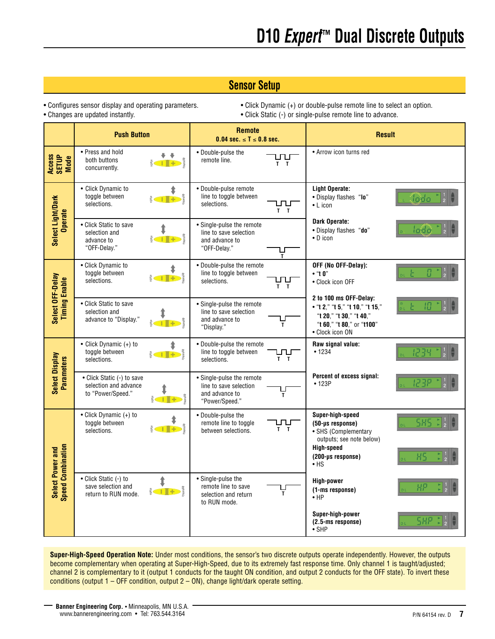# **Sensor Setup**

• Configures sensor display and operating parameters. • • Click Dynamic (+) or double-pulse remote line to select an option. • Changes are updated instantly.  $\bullet$  Click Static (-) or single-pulse remote line to advance.

|                                                     | <b>Push Button</b>                                                       |                                   | <b>Remote</b><br>0.04 sec. $\le T \le 0.8$ sec.                                         |            | <b>Result</b>                                                                                                                        |            |
|-----------------------------------------------------|--------------------------------------------------------------------------|-----------------------------------|-----------------------------------------------------------------------------------------|------------|--------------------------------------------------------------------------------------------------------------------------------------|------------|
| Access<br>SETUP<br>Mode                             | • Press and hold<br>both buttons<br>concurrently.                        |                                   | • Double-pulse the<br>remote line.                                                      | ᅩ<br>$T$ T | • Arrow icon turns red                                                                                                               |            |
|                                                     | • Click Dynamic to<br>toggle between<br>selections.                      | ⇟                                 | · Double-pulse remote<br>line to toggle between<br>selections.                          | $T$ T      | <b>Light Operate:</b><br>• Display flashes "lo"<br>$\bullet$ L icon                                                                  | lada       |
| Select Light/Dark<br><b>Operate</b>                 | • Click Static to save<br>selection and<br>advance to<br>"OFF-Delay."    |                                   | • Single-pulse the remote<br>line to save selection<br>and advance to<br>"OFF-Delay."   | ۲<br>۲     | Dark Operate:<br>• Display flashes "do"<br>• D icon                                                                                  |            |
|                                                     | • Click Dynamic to<br>toggle between<br>selections.                      |                                   | • Double-pulse the remote<br>line to toggle between<br>selections.                      | $T$ T      | OFF (No OFF-Delay):<br>$\cdot$ "t 0"<br>• Clock icon OFF                                                                             |            |
| Select OFF-Delay<br><b>Timing Enable</b>            | • Click Static to save<br>selection and<br>advance to "Display."         |                                   | • Single-pulse the remote<br>line to save selection<br>and advance to<br>"Display."     | T          | 2 to 100 ms OFF-Delay:<br>• "t 2," "t 5," "t 10," "t 15,"<br>"t 20," "t 30," "t 40,"<br>"t 60," "t 80," or "t100"<br>• Clock icon ON |            |
|                                                     | • Click Dynamic $(+)$ to<br>toggle between<br>selections.                |                                   | • Double-pulse the remote<br>line to toggle between<br>selections.                      | ਪ੍ਰਾਪ<br>ਜ | Raw signal value:<br>• 1234                                                                                                          |            |
| Select Display<br><b>Parameters</b>                 | • Click Static (-) to save<br>selection and advance<br>to "Power/Speed." |                                   | • Single-pulse the remote<br>line to save selection<br>and advance to<br>"Power/Speed." | T          | Percent of excess signal:<br>• 123P                                                                                                  |            |
|                                                     | • Click Dynamic (+) to<br>toggle between<br>selections.                  |                                   | • Double-pulse the<br>remote line to toggle<br>between selections.                      | $T$ T      | Super-high-speed<br>(50-us response)<br>• SHS (Complementary<br>outputs; see note below)                                             | <b>SHS</b> |
| <b>Speed Combination</b><br><b>Select Power and</b> |                                                                          |                                   |                                                                                         |            | <b>High-speed</b><br>(200-µs response)<br>$\bullet$ HS                                                                               | НS         |
|                                                     | • Click Static (-) to<br>save selection and<br>return to RUN mode.       | $\sum_{n=1}^{\infty} \frac{1}{n}$ | • Single-pulse the<br>remote line to save<br>selection and return<br>to RUN mode.       | T          | High-power<br>(1-ms response)<br>$\bullet$ HP                                                                                        |            |
|                                                     |                                                                          |                                   |                                                                                         |            | Super-high-power<br>(2.5-ms response)<br>$\bullet$ SHP                                                                               | SHP        |

**Super-High-Speed Operation Note:** Under most conditions, the sensor's two discrete outputs operate independently. However, the outputs become complementary when operating at Super-High-Speed, due to its extremely fast response time. Only channel 1 is taught/adjusted; channel 2 is complementary to it (output 1 conducts for the taught ON condition, and output 2 conducts for the OFF state). To invert these conditions (output  $1 -$  OFF condition, output  $2 -$  ON), change light/dark operate setting.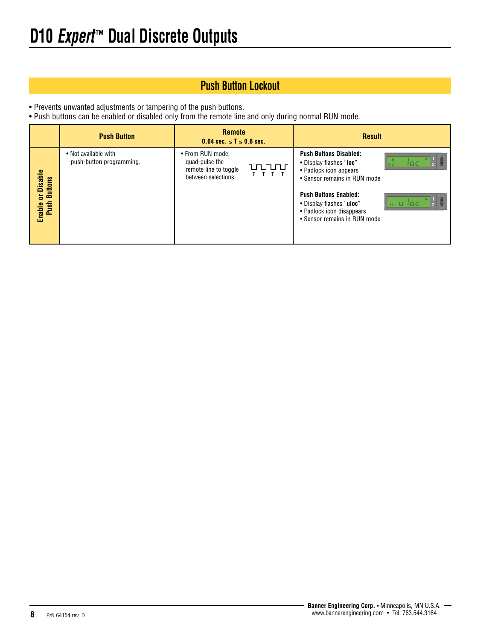# **Push Button Lockout**

• Prevents unwanted adjustments or tampering of the push buttons.

• Push buttons can be enabled or disabled only from the remote line and only during normal RUN mode.

|                                  | <b>Push Button</b>                               | <b>Remote</b><br>$0.04$ sec. $\le T \le 0.8$ sec.                                  |              | <b>Result</b>                                                                                                                                      |       |
|----------------------------------|--------------------------------------------------|------------------------------------------------------------------------------------|--------------|----------------------------------------------------------------------------------------------------------------------------------------------------|-------|
| <b>Disable</b><br><b>Buttons</b> | • Not available with<br>push-button programming. | • From RUN mode.<br>quad-pulse the<br>remote line to toggle<br>between selections. | uuur<br>TITT | <b>Push Buttons Disabled:</b><br>• Display flashes "loc"<br>• Padlock icon appears<br>• Sensor remains in RUN mode<br><b>Push Buttons Enabled:</b> | ioc   |
| 능<br>Push<br>Enable              |                                                  |                                                                                    |              | • Display flashes "uloc"<br>• Padlock icon disappears<br>• Sensor remains in RUN mode                                                              | u ioc |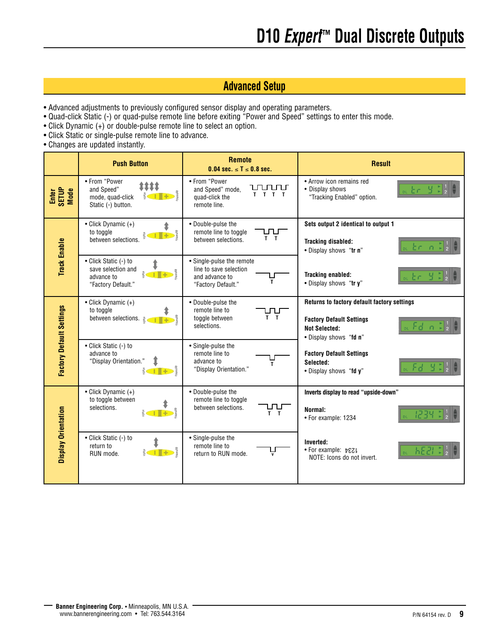# **Advanced Setup**

- Advanced adjustments to previously configured sensor display and operating parameters.
- Quad-click Static (-) or quad-pulse remote line before exiting "Power and Speed" settings to enter this mode. **T T T**
- Click Dynamic (+) or double-pulse remote line to select an option.
- Click Static or single-pulse remote line to advance.
- Changes are updated instantly.

|                                 | <b>Push Button</b>                                                                                                   | <b>Remote</b><br>0.04 sec. $\le T \le 0.8$ sec.                                                  | <b>Result</b>                                                                                                                    |
|---------------------------------|----------------------------------------------------------------------------------------------------------------------|--------------------------------------------------------------------------------------------------|----------------------------------------------------------------------------------------------------------------------------------|
| Enter<br>SETUP<br>Mode          | • From "Power<br>1111<br>and Speed"<br>mode, quad-click<br>Static (-) button.                                        | • From "Power<br>uururur<br>and Speed" mode,<br>$T$ $T$ $T$<br>quad-click the<br>remote line.    | • Arrow icon remains red<br>• Display shows<br>"Tracking Enabled" option.                                                        |
| <b>Track Enable</b>             | • Click Dynamic (+)<br>to toggle<br>$\frac{1}{1}$ + $\frac{2}{3}$<br>between selections.                             | • Double-pulse the<br>remote line to toggle<br>பப<br>$T$ T<br>between selections.                | Sets output 2 identical to output 1<br><b>Tracking disabled:</b><br>$n +$<br>. Display shows "tr n"                              |
|                                 | • Click Static (-) to<br>save selection and<br>advance to<br>"Factory Default."                                      | • Single-pulse the remote<br>line to save selection<br>and advance to<br>T<br>"Factory Default." | <b>Tracking enabled:</b><br>. Display shows "try"                                                                                |
|                                 | • Click Dynamic (+)<br>to toggle<br>between selections.<br>$\left($ $\left  \cdot \right $ + $\right)$ $\frac{2}{3}$ | • Double-pulse the<br>remote line to<br>$T$ T<br>toggle between<br>selections.                   | Returns to factory default factory settings<br><b>Factory Default Settings</b><br><b>Not Selected:</b><br>. Display shows "fd n" |
| <b>Factory Default Settings</b> | • Click Static (-) to<br>advance to<br>"Display Orientation."                                                        | • Single-pulse the<br>remote line to<br>advance to<br>T.<br>"Display Orientation."               | <b>Factory Default Settings</b><br>Selected:<br>• Display shows "fd y"                                                           |
|                                 | • Click Dynamic (+)<br>to toggle between<br>selections.                                                              | • Double-pulse the<br>remote line to toggle<br>between selections.                               | Inverts display to read "upside-down"<br>Normal:<br>• For example: 1234                                                          |
| <b>Display Orientation</b>      | • Click Static (-) to<br>return to<br><b>II-D</b><br>RUN mode.                                                       | • Single-pulse the<br>remote line to<br>return to RUN mode.                                      | Inverted:<br>6E21 ¢<br>• For example: <b>b</b> &21<br>NOTE: Icons do not invert.                                                 |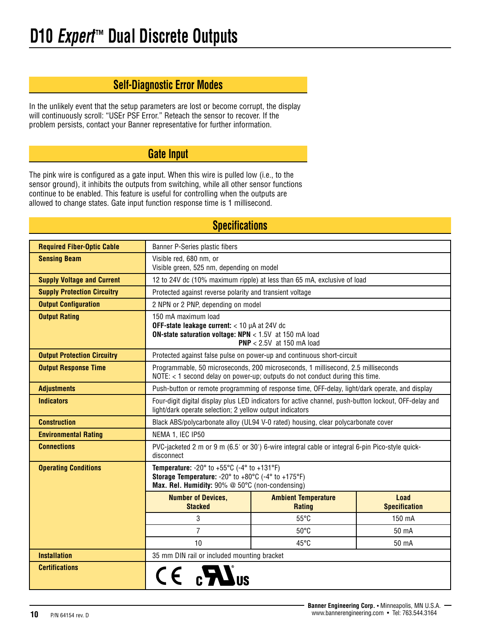# **Self-Diagnostic Error Modes**

In the unlikely event that the setup parameters are lost or become corrupt, the display will continuously scroll: "USEr PSF Error." Reteach the sensor to recover. If the problem persists, contact your Banner representative for further information.

# **Gate Input**

The pink wire is configured as a gate input. When this wire is pulled low (i.e., to the sensor ground), it inhibits the outputs from switching, while all other sensor functions continue to be enabled. This feature is useful for controlling when the outputs are allowed to change states. Gate input function response time is 1 millisecond.

| <b>OPCULLUATIONS</b>               |                                                                                                                                                                                                      |                                                                         |        |  |  |
|------------------------------------|------------------------------------------------------------------------------------------------------------------------------------------------------------------------------------------------------|-------------------------------------------------------------------------|--------|--|--|
| <b>Required Fiber-Optic Cable</b>  | Banner P-Series plastic fibers                                                                                                                                                                       |                                                                         |        |  |  |
| <b>Sensing Beam</b>                | Visible red, 680 nm, or<br>Visible green, 525 nm, depending on model                                                                                                                                 |                                                                         |        |  |  |
| <b>Supply Voltage and Current</b>  |                                                                                                                                                                                                      | 12 to 24V dc (10% maximum ripple) at less than 65 mA, exclusive of load |        |  |  |
| <b>Supply Protection Circuitry</b> | Protected against reverse polarity and transient voltage                                                                                                                                             |                                                                         |        |  |  |
| <b>Output Configuration</b>        | 2 NPN or 2 PNP, depending on model                                                                                                                                                                   |                                                                         |        |  |  |
| <b>Output Rating</b>               | 150 mA maximum load<br>OFF-state leakage current: < 10 µA at 24V dc<br><b>ON-state saturation voltage: NPN</b> < 1.5V at 150 mA load<br>$PNP < 2.5V$ at 150 mA load                                  |                                                                         |        |  |  |
| <b>Output Protection Circuitry</b> |                                                                                                                                                                                                      | Protected against false pulse on power-up and continuous short-circuit  |        |  |  |
| <b>Output Response Time</b>        | Programmable, 50 microseconds, 200 microseconds, 1 millisecond, 2.5 milliseconds<br>NOTE: < 1 second delay on power-up; outputs do not conduct during this time.                                     |                                                                         |        |  |  |
| <b>Adjustments</b>                 | Push-button or remote programming of response time, OFF-delay, light/dark operate, and display                                                                                                       |                                                                         |        |  |  |
| <b>Indicators</b>                  | Four-digit digital display plus LED indicators for active channel, push-button lockout, OFF-delay and<br>light/dark operate selection; 2 yellow output indicators                                    |                                                                         |        |  |  |
| <b>Construction</b>                | Black ABS/polycarbonate alloy (UL94 V-0 rated) housing, clear polycarbonate cover                                                                                                                    |                                                                         |        |  |  |
| <b>Environmental Rating</b>        | NEMA 1, IEC IP50                                                                                                                                                                                     |                                                                         |        |  |  |
| <b>Connections</b>                 | PVC-jacketed 2 m or 9 m (6.5' or 30') 6-wire integral cable or integral 6-pin Pico-style quick-<br>disconnect                                                                                        |                                                                         |        |  |  |
| <b>Operating Conditions</b>        | <b>Temperature:</b> -20 $^{\circ}$ to +55 $^{\circ}$ C (-4 $^{\circ}$ to +131 $^{\circ}$ F)<br>Storage Temperature: -20° to +80°C (-4° to +175°F)<br>Max. Rel. Humidity: 90% @ 50°C (non-condensing) |                                                                         |        |  |  |
|                                    | <b>Number of Devices,</b><br><b>Ambient Temperature</b><br>Load<br><b>Stacked</b><br><b>Specification</b><br><b>Rating</b>                                                                           |                                                                         |        |  |  |
|                                    | 3                                                                                                                                                                                                    | $55^{\circ}$ C                                                          | 150 mA |  |  |
|                                    | $\overline{7}$<br>$50^{\circ}$ C<br>50 mA                                                                                                                                                            |                                                                         |        |  |  |
|                                    | 10<br>45°C<br>50 mA                                                                                                                                                                                  |                                                                         |        |  |  |
| <b>Installation</b>                | 35 mm DIN rail or included mounting bracket                                                                                                                                                          |                                                                         |        |  |  |
| <b>Certifications</b>              | $CE_{0}$ $\mathbb{Z}$                                                                                                                                                                                |                                                                         |        |  |  |

# **Specifications**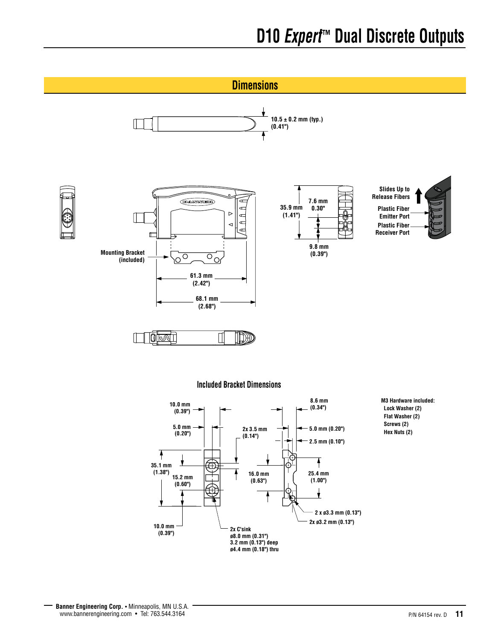